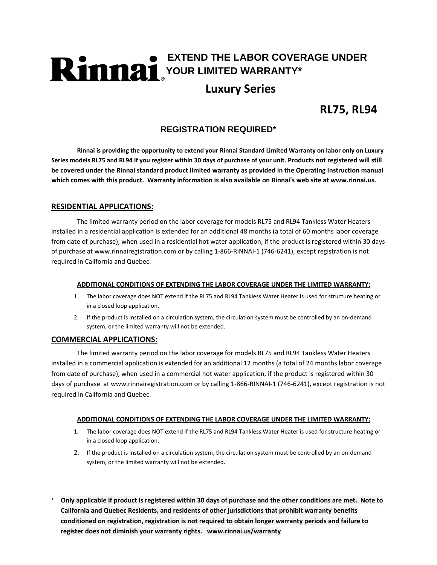# **EXTEND THE LABOR COVERAGE UNDER YOUR LIMITED WARRANTY\* Luxury Series**

### **RL75, RL94**

### **REGISTRATION REQUIRED\***

Rinnai is providing the opportunity to extend your Rinnai Standard Limited Warranty on labor only on Luxury Series models RL75 and RL94 if you register within 30 days of purchase of your unit. Products not registered will still **be covered under the Rinnai standard product limited warranty as provided in the Operating Instruction manual** which comes with this product. Warranty information is also available on Rinnai's web site at www.rinnai.us.

### **RESIDENTIAL APPLICATIONS:**

The limited warranty period on the labor coverage for models RL75 and RL94 Tankless Water Heaters installed in a residential application is extended for an additional 48 months (a total of 60 months labor coverage from date of purchase), when used in a residential hot water application, if the product is registered within 30 days of purchase at www.rinnairegistration.com or by calling 1‐866‐RINNAI‐1 (746‐6241), except registration is not required in California and Quebec.

### **ADDITIONAL CONDITIONS OF EXTENDING THE LABOR COVERAGE UNDER THE LIMITED WARRANTY:**

- 1. The labor coverage does NOT extend if the RL75 and RL94 Tankless Water Heater is used for structure heating or in a closed loop application.
- 2. If the product is installed on a circulation system, the circulation system must be controlled by an on‐demand system, or the limited warranty will not be extended.

### **COMMERCIAL APPLICATIONS:**

The limited warranty period on the labor coverage for models RL75 and RL94 Tankless Water Heaters installed in a commercial application is extended for an additional 12 months (a total of 24 months labor coverage from date of purchase), when used in a commercial hot water application, if the product is registered within 30 days of purchase at www.rinnairegistration.com or by calling 1‐866‐RINNAI‐1 (746‐6241), except registration is not required in California and Quebec.

### **ADDITIONAL CONDITIONS OF EXTENDING THE LABOR COVERAGE UNDER THE LIMITED WARRANTY:**

- 1. The labor coverage does NOT extend if the RL75 and RL94 Tankless Water Heater is used for structure heating or in a closed loop application.
- 2. If the product is installed on a circulation system, the circulation system must be controlled by an on-demand system, or the limited warranty will not be extended.
- Only applicable if product is registered within 30 days of purchase and the other conditions are met. Note to **California and Quebec Residents, and residents of other jurisdictions that prohibit warranty benefits conditioned on registration, registration is not required to obtain longer warranty periods and failure to register does not diminish your warranty rights. www.rinnai.us/warranty**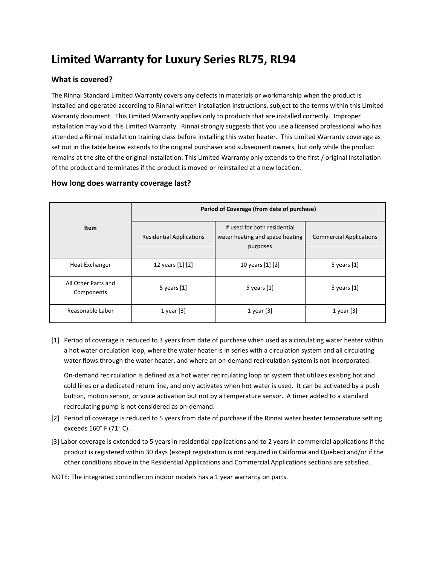## **Limited Warranty for Luxury Series RL75, RL94**

### **What is covered?**

The Rinnai Standard Limited Warranty covers any defects in materials or workmanship when the product is installed and operated according to Rinnai written installation instructions, subject to the terms within this Limited Warranty document. This Limited Warranty applies only to products that are installed correctly. Improper installation may void this Limited Warranty. Rinnai strongly suggests that you use a licensed professional who has attended a Rinnai installation training class before installing this water heater. This Limited Warranty coverage as set out in the table below extends to the original purchaser and subsequent owners, but only while the product remains at the site of the original installation. This Limited Warranty only extends to the first / original installation of the product and terminates if the product is moved or reinstalled at a new location.

### **How long does warranty coverage last?**

| <b>Item</b>                       | Period of Coverage (from date of purchase) |                                                                             |                                |
|-----------------------------------|--------------------------------------------|-----------------------------------------------------------------------------|--------------------------------|
|                                   | <b>Residential Applications</b>            | If used for both residential<br>water heating and space heating<br>purposes | <b>Commercial Applications</b> |
| <b>Heat Exchanger</b>             | 12 years [1] [2]                           | 10 years [1] [2]                                                            | 5 years $[1]$                  |
| All Other Parts and<br>Components | 5 years $[1]$                              | 5 years $[1]$                                                               | 5 years $[1]$                  |
| Reasonable Labor                  | 1 year $[3]$                               | 1 year $[3]$                                                                | 1 year $[3]$                   |

[1] Period of coverage is reduced to 3 years from date of purchase when used as a circulating water heater within a hot water circulation loop, where the water heater is in series with a circulation system and all circulating water flows through the water heater, and where an on-demand recirculation system is not incorporated.

On‐demand recirculation is defined as a hot water recirculating loop or system that utilizes existing hot and cold lines or a dedicated return line, and only activates when hot water is used. It can be activated by a push button, motion sensor, or voice activation but not by a temperature sensor. A timer added to a standard recirculating pump is not considered as on‐demand.

- [2] Period of coverage is reduced to 5 years from date of purchase if the Rinnai water heater temperature setting exceeds 160° F (71° C).
- [3] Labor coverage is extended to 5 years in residential applications and to 2 years in commercial applications if the product is registered within 30 days (except registration is not required in California and Quebec) and/or if the other conditions above in the Residential Applications and Commercial Applications sections are satisfied.
- NOTE: The integrated controller on indoor models has a 1 year warranty on parts.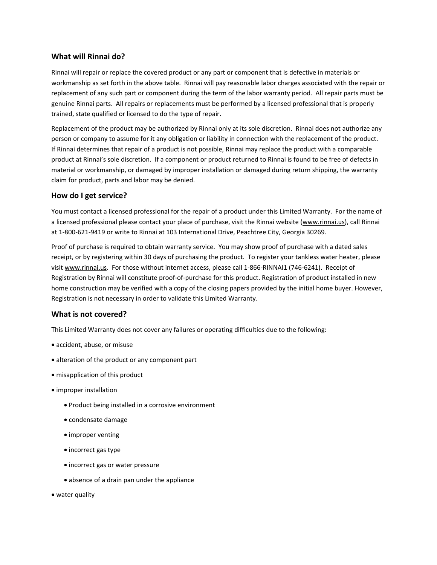### **What will Rinnai do?**

Rinnai will repair or replace the covered product or any part or component that is defective in materials or workmanship as set forth in the above table. Rinnai will pay reasonable labor charges associated with the repair or replacement of any such part or component during the term of the labor warranty period. All repair parts must be genuine Rinnai parts. All repairs or replacements must be performed by a licensed professional that is properly trained, state qualified or licensed to do the type of repair.

Replacement of the product may be authorized by Rinnai only at its sole discretion. Rinnai does not authorize any person or company to assume for it any obligation or liability in connection with the replacement of the product. If Rinnai determines that repair of a product is not possible, Rinnai may replace the product with a comparable product at Rinnai's sole discretion. If a component or product returned to Rinnai is found to be free of defects in material or workmanship, or damaged by improper installation or damaged during return shipping, the warranty claim for product, parts and labor may be denied.

### **How do I get service?**

You must contact a licensed professional for the repair of a product under this Limited Warranty. For the name of a licensed professional please contact your place of purchase, visit the Rinnai website (www.rinnai.us), call Rinnai at 1‐800‐621‐9419 or write to Rinnai at 103 International Drive, Peachtree City, Georgia 30269.

Proof of purchase is required to obtain warranty service. You may show proof of purchase with a dated sales receipt, or by registering within 30 days of purchasing the product. To register your tankless water heater, please visit www.rinnai.us. For those without internet access, please call 1‐866‐RINNAI1 (746‐6241). Receipt of Registration by Rinnai will constitute proof‐of‐purchase for this product. Registration of product installed in new home construction may be verified with a copy of the closing papers provided by the initial home buyer. However, Registration is not necessary in order to validate this Limited Warranty.

### **What is not covered?**

This Limited Warranty does not cover any failures or operating difficulties due to the following:

- accident, abuse, or misuse
- alteration of the product or any component part
- misapplication of this product
- improper installation
	- Product being installed in a corrosive environment
	- condensate damage
	- improper venting
	- incorrect gas type
	- incorrect gas or water pressure
	- absence of a drain pan under the appliance
- water quality